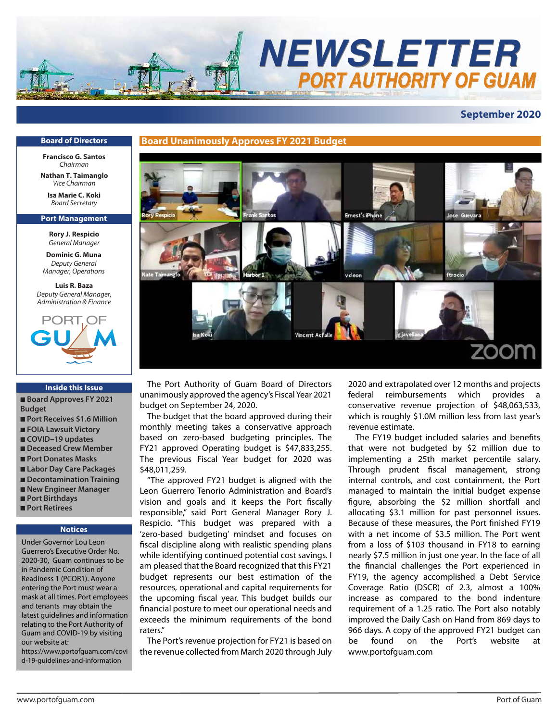

# **September 2020**

#### **Board of Directors**

**Francisco G. Santos** *Chairman*

**Nathan T. Taimanglo** *Vice Chairman*

**Isa Marie C. Koki** *Board Secretary*

#### **Port Management**

**Rory J. Respicio** *General Manager*

**Dominic G. Muna** *Deputy General Manager, Operations*

**Luis R. Baza** *Deputy General Manager, Administration & Finance*



#### **Inside this Issue**

■ **Board Approves FY 2021 Budget**

- Port Receives \$1.6 Million
- **FOIA Lawsuit Victory**
- **COVID–19 updates**
- **Deceased Crew Member**
- **Port Donates Masks**
- **Labor Day Care Packages**
- **Decontamination Training**
- **New Engineer Manager** ■ **Port Birthdays**
- 
- **Port Retirees**

#### **Notices**

Under Governor Lou Leon Guerrero's Executive Order No. 2020-30, Guam continues to be in Pandemic Condition of Readiness 1 (PCOR1). Anyone entering the Port must wear a mask at all times. Port employees and tenants may obtain the latest guidelines and information relating to the Port Authority of Guam and COVID-19 by visiting our website at:

https://www.portofguam.com/covi d-19-guidelines-and-information



 The Port Authority of Guam Board of Directors unanimously approved the agency's Fiscal Year 2021 budget on September 24, 2020.

 The budget that the board approved during their monthly meeting takes a conservative approach based on zero-based budgeting principles. The FY21 approved Operating budget is \$47,833,255. The previous Fiscal Year budget for 2020 was \$48,011,259.

 "The approved FY21 budget is aligned with the Leon Guerrero Tenorio Administration and Board's vision and goals and it keeps the Port fiscally responsible," said Port General Manager Rory J. Respicio. "This budget was prepared with a 'zero-based budgeting' mindset and focuses on fiscal discipline along with realistic spending plans while identifying continued potential cost savings. I am pleased that the Board recognized that this FY21 budget represents our best estimation of the resources, operational and capital requirements for the upcoming fiscal year. This budget builds our nancial posture to meet our operational needs and exceeds the minimum requirements of the bond raters."

 The Port's revenue projection for FY21 is based on the revenue collected from March 2020 through July 2020 and extrapolated over 12 months and projects federal reimbursements which provides a conservative revenue projection of \$48,063,533, which is roughly \$1.0M million less from last year's revenue estimate.

The FY19 budget included salaries and benefits that were not budgeted by \$2 million due to implementing a 25th market percentile salary. Through prudent fiscal management, strong internal controls, and cost containment, the Port managed to maintain the initial budget expense figure, absorbing the \$2 million shortfall and allocating \$3.1 million for past personnel issues. Because of these measures, the Port finished FY19 with a net income of \$3.5 million. The Port went from a loss of \$103 thousand in FY18 to earning nearly \$7.5 million in just one year. In the face of all the financial challenges the Port experienced in FY19, the agency accomplished a Debt Service Coverage Ratio (DSCR) of 2.3, almost a 100% increase as compared to the bond indenture requirement of a 1.25 ratio. The Port also notably improved the Daily Cash on Hand from 869 days to 966 days. A copy of the approved FY21 budget can be found on the Port's website at www.portofguam.com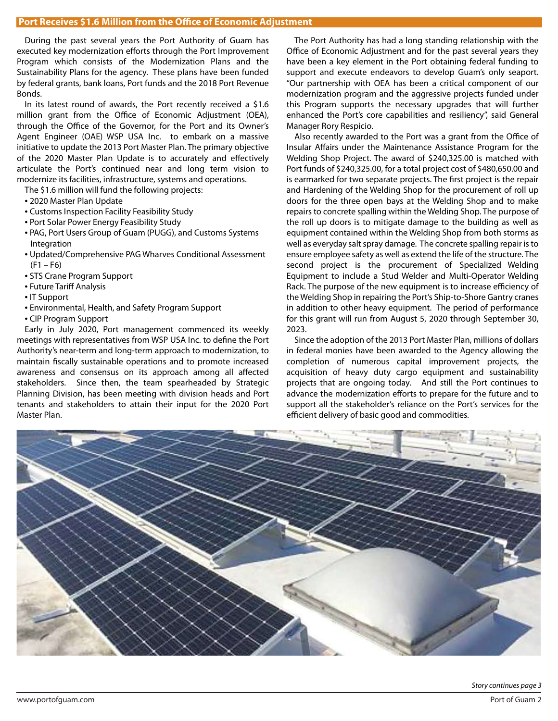During the past several years the Port Authority of Guam has executed key modernization efforts through the Port Improvement Program which consists of the Modernization Plans and the Sustainability Plans for the agency. These plans have been funded by federal grants, bank loans, Port funds and the 2018 Port Revenue Bonds.

 In its latest round of awards, the Port recently received a \$1.6 million grant from the Office of Economic Adjustment (OEA), through the Office of the Governor, for the Port and its Owner's Agent Engineer (OAE) WSP USA Inc. to embark on a massive initiative to update the 2013 Port Master Plan. The primary objective of the 2020 Master Plan Update is to accurately and effectively articulate the Port's continued near and long term vision to modernize its facilities, infrastructure, systems and operations.

The \$1.6 million will fund the following projects:

- 2020 Master Plan Update
- Customs Inspection Facility Feasibility Study
- Port Solar Power Energy Feasibility Study
- PAG, Port Users Group of Guam (PUGG), and Customs Systems Integration
- Updated/Comprehensive PAG Wharves Conditional Assessment  $(F1 - F6)$
- STS Crane Program Support
- Future Tariff Analysis
- IT Support
- Environmental, Health, and Safety Program Support
- CIP Program Support

 Early in July 2020, Port management commenced its weekly meetings with representatives from WSP USA Inc. to define the Port Authority's near-term and long-term approach to modernization, to maintain fiscally sustainable operations and to promote increased awareness and consensus on its approach among all affected stakeholders. Since then, the team spearheaded by Strategic Planning Division, has been meeting with division heads and Port tenants and stakeholders to attain their input for the 2020 Port Master Plan.

 The Port Authority has had a long standing relationship with the Office of Economic Adjustment and for the past several years they have been a key element in the Port obtaining federal funding to support and execute endeavors to develop Guam's only seaport. "Our partnership with OEA has been a critical component of our modernization program and the aggressive projects funded under this Program supports the necessary upgrades that will further enhanced the Port's core capabilities and resiliency", said General Manager Rory Respicio.

Also recently awarded to the Port was a grant from the Office of Insular Affairs under the Maintenance Assistance Program for the Welding Shop Project. The award of \$240,325.00 is matched with Port funds of \$240,325.00, for a total project cost of \$480,650.00 and is earmarked for two separate projects. The first project is the repair and Hardening of the Welding Shop for the procurement of roll up doors for the three open bays at the Welding Shop and to make repairs to concrete spalling within the Welding Shop. The purpose of the roll up doors is to mitigate damage to the building as well as equipment contained within the Welding Shop from both storms as well as everyday salt spray damage. The concrete spalling repair is to ensure employee safety as well as extend the life of the structure. The second project is the procurement of Specialized Welding Equipment to include a Stud Welder and Multi-Operator Welding Rack. The purpose of the new equipment is to increase efficiency of the Welding Shop in repairing the Port's Ship-to-Shore Gantry cranes in addition to other heavy equipment. The period of performance for this grant will run from August 5, 2020 through September 30, 2023.

 Since the adoption of the 2013 Port Master Plan, millions of dollars in federal monies have been awarded to the Agency allowing the completion of numerous capital improvement projects, the acquisition of heavy duty cargo equipment and sustainability projects that are ongoing today. And still the Port continues to advance the modernization efforts to prepare for the future and to support all the stakeholder's reliance on the Port's services for the efficient delivery of basic good and commodities.

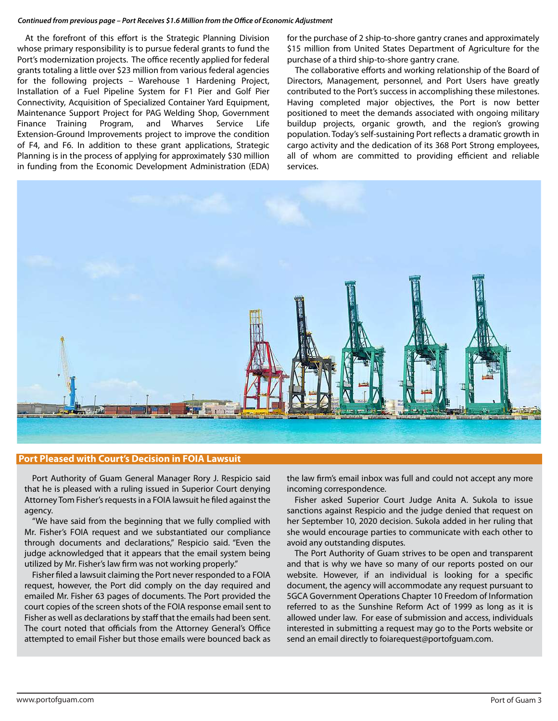#### Continued from previous page - Port Receives \$1.6 Million from the Office of Economic Adjustment

At the forefront of this effort is the Strategic Planning Division whose primary responsibility is to pursue federal grants to fund the Port's modernization projects. The office recently applied for federal grants totaling a little over \$23 million from various federal agencies for the following projects – Warehouse 1 Hardening Project, Installation of a Fuel Pipeline System for F1 Pier and Golf Pier Connectivity, Acquisition of Specialized Container Yard Equipment, Maintenance Support Project for PAG Welding Shop, Government Finance Training Program, and Wharves Service Life Extension-Ground Improvements project to improve the condition of F4, and F6. In addition to these grant applications, Strategic Planning is in the process of applying for approximately \$30 million in funding from the Economic Development Administration (EDA) for the purchase of 2 ship-to-shore gantry cranes and approximately \$15 million from United States Department of Agriculture for the purchase of a third ship-to-shore gantry crane.

The collaborative efforts and working relationship of the Board of Directors, Management, personnel, and Port Users have greatly contributed to the Port's success in accomplishing these milestones. Having completed major objectives, the Port is now better positioned to meet the demands associated with ongoing military buildup projects, organic growth, and the region's growing population. Today's self-sustaining Port reflects a dramatic growth in cargo activity and the dedication of its 368 Port Strong employees, all of whom are committed to providing efficient and reliable services.



#### **Port Pleased with Court's Decision in FOIA Lawsuit**

 Port Authority of Guam General Manager Rory J. Respicio said that he is pleased with a ruling issued in Superior Court denying Attorney Tom Fisher's requests in a FOIA lawsuit he filed against the agency.

 "We have said from the beginning that we fully complied with Mr. Fisher's FOIA request and we substantiated our compliance through documents and declarations," Respicio said. "Even the judge acknowledged that it appears that the email system being utilized by Mr. Fisher's law firm was not working properly."

Fisher filed a lawsuit claiming the Port never responded to a FOIA request, however, the Port did comply on the day required and emailed Mr. Fisher 63 pages of documents. The Port provided the court copies of the screen shots of the FOIA response email sent to Fisher as well as declarations by staff that the emails had been sent. The court noted that officials from the Attorney General's Office attempted to email Fisher but those emails were bounced back as the law firm's email inbox was full and could not accept any more incoming correspondence.

 Fisher asked Superior Court Judge Anita A. Sukola to issue sanctions against Respicio and the judge denied that request on her September 10, 2020 decision. Sukola added in her ruling that she would encourage parties to communicate with each other to avoid any outstanding disputes.

 The Port Authority of Guam strives to be open and transparent and that is why we have so many of our reports posted on our website. However, if an individual is looking for a specific document, the agency will accommodate any request pursuant to 5GCA Government Operations Chapter 10 Freedom of Information referred to as the Sunshine Reform Act of 1999 as long as it is allowed under law. For ease of submission and access, individuals interested in submitting a request may go to the Ports website or send an email directly to foiarequest@portofguam.com.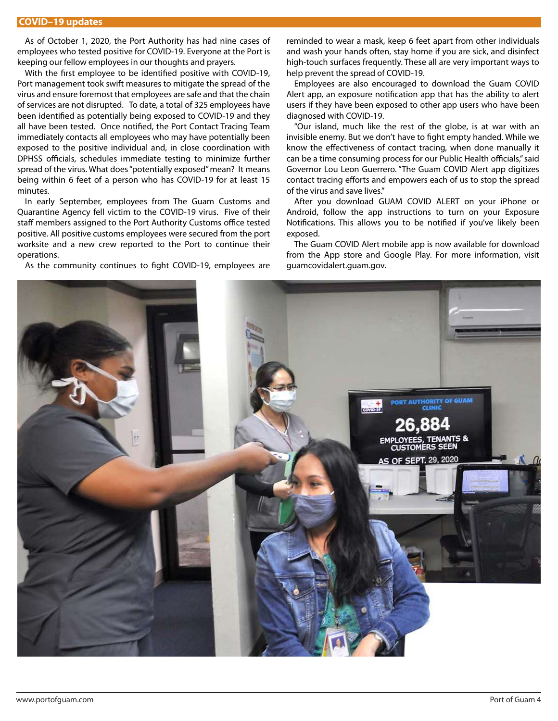As of October 1, 2020, the Port Authority has had nine cases of employees who tested positive for COVID-19. Everyone at the Port is keeping our fellow employees in our thoughts and prayers.

With the first employee to be identified positive with COVID-19, Port management took swift measures to mitigate the spread of the virus and ensure foremost that employees are safe and that the chain of services are not disrupted. To date, a total of 325 employees have been identified as potentially being exposed to COVID-19 and they all have been tested. Once notified, the Port Contact Tracing Team immediately contacts all employees who may have potentially been exposed to the positive individual and, in close coordination with DPHSS officials, schedules immediate testing to minimize further spread of the virus. What does "potentially exposed" mean? It means being within 6 feet of a person who has COVID-19 for at least 15 minutes.

 In early September, employees from The Guam Customs and Quarantine Agency fell victim to the COVID-19 virus. Five of their staff members assigned to the Port Authority Customs office tested positive. All positive customs employees were secured from the port worksite and a new crew reported to the Port to continue their operations.

As the community continues to fight COVID-19, employees are

reminded to wear a mask, keep 6 feet apart from other individuals and wash your hands often, stay home if you are sick, and disinfect high-touch surfaces frequently. These all are very important ways to help prevent the spread of COVID-19.

 Employees are also encouraged to download the Guam COVID Alert app, an exposure notification app that has the ability to alert users if they have been exposed to other app users who have been diagnosed with COVID-19.

 "Our island, much like the rest of the globe, is at war with an invisible enemy. But we don't have to fight empty handed. While we know the effectiveness of contact tracing, when done manually it can be a time consuming process for our Public Health officials," said Governor Lou Leon Guerrero. "The Guam COVID Alert app digitizes contact tracing efforts and empowers each of us to stop the spread of the virus and save lives."

 After you download GUAM COVID ALERT on your iPhone or Android, follow the app instructions to turn on your Exposure Notifications. This allows you to be notified if you've likely been exposed.

 The Guam COVID Alert mobile app is now available for download from the App store and Google Play. For more information, visit guamcovidalert.guam.gov.

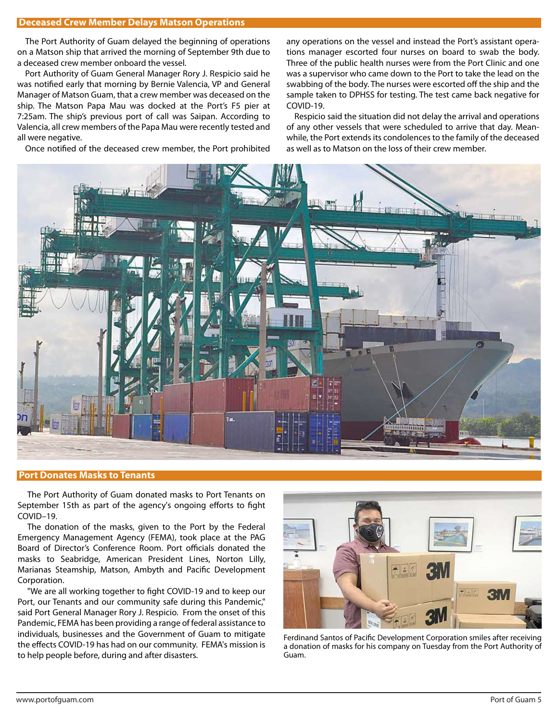# **Deceased Crew Member Delays Matson Operations**

 The Port Authority of Guam delayed the beginning of operations on a Matson ship that arrived the morning of September 9th due to a deceased crew member onboard the vessel.

 Port Authority of Guam General Manager Rory J. Respicio said he was notified early that morning by Bernie Valencia, VP and General Manager of Matson Guam, that a crew member was deceased on the ship. The Matson Papa Mau was docked at the Port's F5 pier at 7:25am. The ship's previous port of call was Saipan. According to Valencia, all crew members of the Papa Mau were recently tested and all were negative.

Once notified of the deceased crew member, the Port prohibited

any operations on the vessel and instead the Port's assistant operations manager escorted four nurses on board to swab the body. Three of the public health nurses were from the Port Clinic and one was a supervisor who came down to the Port to take the lead on the swabbing of the body. The nurses were escorted off the ship and the sample taken to DPHSS for testing. The test came back negative for COVID-19.

 Respicio said the situation did not delay the arrival and operations of any other vessels that were scheduled to arrive that day. Meanwhile, the Port extends its condolences to the family of the deceased as well as to Matson on the loss of their crew member.



# **Port Donates Masks to Tenants**

 The Port Authority of Guam donated masks to Port Tenants on September 15th as part of the agency's ongoing efforts to fight COVID–19.

 The donation of the masks, given to the Port by the Federal Emergency Management Agency (FEMA), took place at the PAG Board of Director's Conference Room. Port officials donated the masks to Seabridge, American President Lines, Norton Lilly, Marianas Steamship, Matson, Ambyth and Pacific Development Corporation.

"We are all working together to fight COVID-19 and to keep our Port, our Tenants and our community safe during this Pandemic," said Port General Manager Rory J. Respicio. From the onset of this Pandemic, FEMA has been providing a range of federal assistance to individuals, businesses and the Government of Guam to mitigate the effects COVID-19 has had on our community. FEMA's mission is to help people before, during and after disasters.



Ferdinand Santos of Pacific Development Corporation smiles after receiving a donation of masks for his company on Tuesday from the Port Authority of Guam.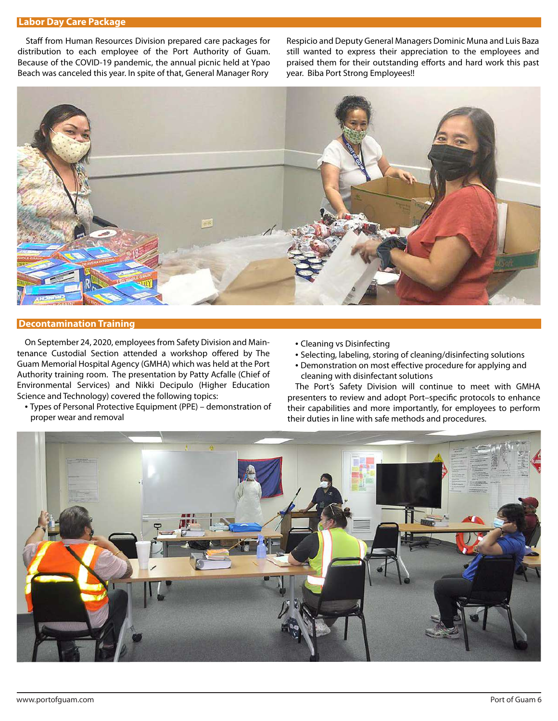# **Labor Day Care Package**

Staff from Human Resources Division prepared care packages for distribution to each employee of the Port Authority of Guam. Because of the COVID-19 pandemic, the annual picnic held at Ypao Beach was canceled this year. In spite of that, General Manager Rory

Respicio and Deputy General Managers Dominic Muna and Luis Baza still wanted to express their appreciation to the employees and praised them for their outstanding efforts and hard work this past year. Biba Port Strong Employees!!



#### **Decontamination Training**

 On September 24, 2020, employees from Safety Division and Maintenance Custodial Section attended a workshop offered by The Guam Memorial Hospital Agency (GMHA) which was held at the Port Authority training room. The presentation by Patty Acfalle (Chief of Environmental Services) and Nikki Decipulo (Higher Education Science and Technology) covered the following topics:

- Types of Personal Protective Equipment (PPE) demonstration of proper wear and removal
- Cleaning vs Disinfecting
- Selecting, labeling, storing of cleaning/disinfecting solutions
- Demonstration on most effective procedure for applying and cleaning with disinfectant solutions

 The Port's Safety Division will continue to meet with GMHA presenters to review and adopt Port-specific protocols to enhance their capabilities and more importantly, for employees to perform their duties in line with safe methods and procedures.

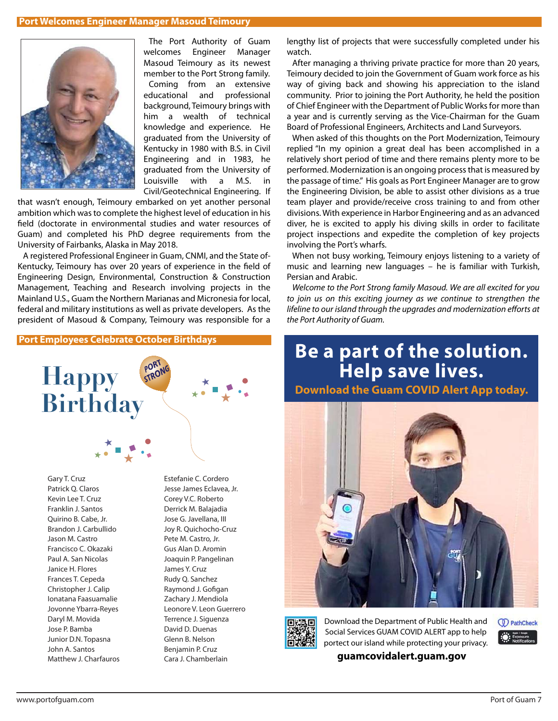# **Port Welcomes Engineer Manager Masoud Teimoury**



 The Port Authority of Guam welcomes Engineer Manager Masoud Teimoury as its newest member to the Port Strong family.

 Coming from an extensive educational and professional background, Teimoury brings with him a wealth of technical knowledge and experience. He graduated from the University of Kentucky in 1980 with B.S. in Civil Engineering and in 1983, he graduated from the University of Louisville with a M.S. in Civil/Geotechnical Engineering. If

that wasn't enough, Teimoury embarked on yet another personal ambition which was to complete the highest level of education in his field (doctorate in environmental studies and water resources of Guam) and completed his PhD degree requirements from the University of Fairbanks, Alaska in May 2018.

 A registered Professional Engineer in Guam, CNMI, and the State of-Kentucky, Teimoury has over 20 years of experience in the field of Engineering Design, Environmental, Construction & Construction Management, Teaching and Research involving projects in the Mainland U.S., Guam the Northern Marianas and Micronesia for local, federal and military institutions as well as private developers. As the president of Masoud & Company, Teimoury was responsible for a

**Port Employees Celebrate October Birthdays**



Gary T. Cruz Patrick Q. Claros Kevin Lee T. Cruz Franklin J. Santos Quirino B. Cabe, Jr. Brandon J. Carbullido Jason M. Castro Francisco C. Okazaki Paul A. San Nicolas Janice H. Flores Frances T. Cepeda Christopher J. Calip Ionatana Faasuamalie Jovonne Ybarra-Reyes Daryl M. Movida Jose P. Bamba Junior D.N. Topasna John A. Santos Matthew J. Charfauros Estefanie C. Cordero Jesse James Eclavea, Jr. Corey V.C. Roberto Derrick M. Balajadia Jose G. Javellana, III Joy R. Quichocho-Cruz Pete M. Castro, Jr. Gus Alan D. Aromin Joaquin P. Pangelinan James Y. Cruz Rudy Q. Sanchez Raymond J. Gofigan Zachary J. Mendiola Leonore V. Leon Guerrero Terrence J. Siguenza David D. Duenas Glenn B. Nelson Benjamin P. Cruz Cara J. Chamberlain

lengthy list of projects that were successfully completed under his watch.

 After managing a thriving private practice for more than 20 years, Teimoury decided to join the Government of Guam work force as his way of giving back and showing his appreciation to the island community. Prior to joining the Port Authority, he held the position of Chief Engineer with the Department of Public Works for more than a year and is currently serving as the Vice-Chairman for the Guam Board of Professional Engineers, Architects and Land Surveyors.

 When asked of this thoughts on the Port Modernization, Teimoury replied "In my opinion a great deal has been accomplished in a relatively short period of time and there remains plenty more to be performed. Modernization is an ongoing process that is measured by the passage of time." His goals as Port Engineer Manager are to grow the Engineering Division, be able to assist other divisions as a true team player and provide/receive cross training to and from other divisions. With experience in Harbor Engineering and as an advanced diver, he is excited to apply his diving skills in order to facilitate project inspections and expedite the completion of key projects involving the Port's wharfs.

 When not busy working, Teimoury enjoys listening to a variety of music and learning new languages – he is familiar with Turkish, Persian and Arabic.

*Welcome to the Port Strong family Masoud. We are all excited for you to join us on this exciting journey as we continue to strengthen the lifeline to our island through the upgrades and modernization efforts at the Port Authority of Guam.*

# **Be a part of the solution. Help save lives.**





Download the Department of Public Health and Social Services GUAM COVID ALERT app to help portect our island while protecting your privacy.

**guamcovidalert.guam.gov**